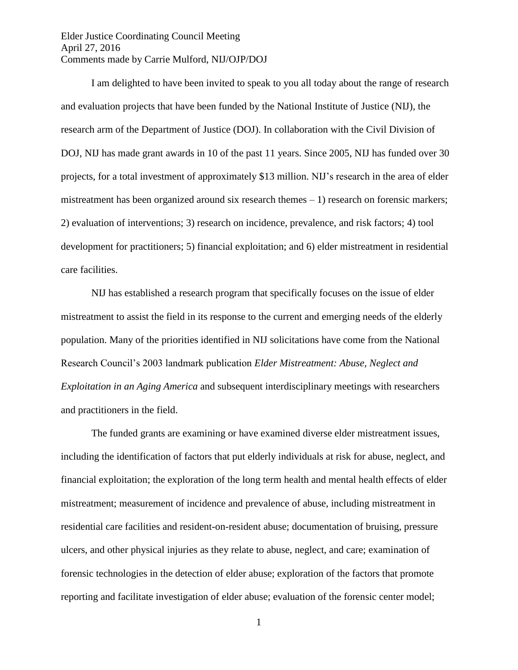Elder Justice Coordinating Council Meeting April 27, 2016 Comments made by Carrie Mulford, NIJ/OJP/DOJ

 I am delighted to have been invited to speak to you all today about the range of research and evaluation projects that have been funded by the National Institute of Justice (NIJ), the research arm of the Department of Justice (DOJ). In collaboration with the Civil Division of DOJ, NIJ has made grant awards in 10 of the past 11 years. Since 2005, NIJ has funded over 30 projects, for a total investment of approximately \$13 million. NIJ's research in the area of elder mistreatment has been organized around six research themes – 1) research on forensic markers; 2) evaluation of interventions; 3) research on incidence, prevalence, and risk factors; 4) tool development for practitioners; 5) financial exploitation; and 6) elder mistreatment in residential care facilities.

 NIJ has established a research program that specifically focuses on the issue of elder mistreatment to assist the field in its response to the current and emerging needs of the elderly population. Many of the priorities identified in NIJ solicitations have come from the National Research Council's 2003 landmark publication *Elder Mistreatment: Abuse, Neglect and Exploitation in an Aging America* and subsequent interdisciplinary meetings with researchers and practitioners in the field.

The funded grants are examining or have examined diverse elder mistreatment issues, including the identification of factors that put elderly individuals at risk for abuse, neglect, and financial exploitation; the exploration of the long term health and mental health effects of elder mistreatment; measurement of incidence and prevalence of abuse, including mistreatment in residential care facilities and resident-on-resident abuse; documentation of bruising, pressure ulcers, and other physical injuries as they relate to abuse, neglect, and care; examination of forensic technologies in the detection of elder abuse; exploration of the factors that promote reporting and facilitate investigation of elder abuse; evaluation of the forensic center model;

1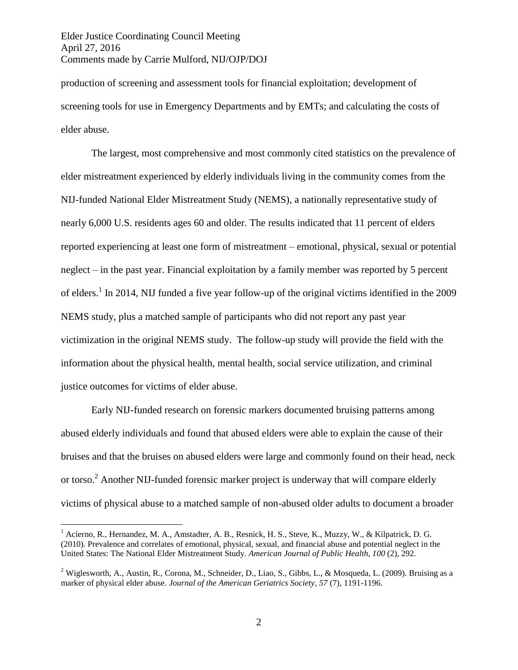Elder Justice Coordinating Council Meeting April 27, 2016 Comments made by Carrie Mulford, NIJ/OJP/DOJ

production of screening and assessment tools for financial exploitation; development of screening tools for use in Emergency Departments and by EMTs; and calculating the costs of elder abuse.

The largest, most comprehensive and most commonly cited statistics on the prevalence of elder mistreatment experienced by elderly individuals living in the community comes from the NIJ-funded National Elder Mistreatment Study (NEMS), a nationally representative study of nearly 6,000 U.S. residents ages 60 and older. The results indicated that 11 percent of elders reported experiencing at least one form of mistreatment – emotional, physical, sexual or potential neglect – in the past year. Financial exploitation by a family member was reported by 5 percent of elders.<sup>1</sup> In 2014, NIJ funded a five year follow-up of the original victims identified in the 2009 NEMS study, plus a matched sample of participants who did not report any past year victimization in the original NEMS study. The follow-up study will provide the field with the information about the physical health, mental health, social service utilization, and criminal justice outcomes for victims of elder abuse.

Early NIJ-funded research on forensic markers documented bruising patterns among abused elderly individuals and found that abused elders were able to explain the cause of their bruises and that the bruises on abused elders were large and commonly found on their head, neck or torso.<sup>2</sup> Another NIJ-funded forensic marker project is underway that will compare elderly victims of physical abuse to a matched sample of non-abused older adults to document a broader

 $\overline{a}$ 

<sup>&</sup>lt;sup>1</sup> Acierno, R., Hernandez, M. A., Amstadter, A. B., Resnick, H. S., Steve, K., Muzzy, W., & Kilpatrick, D. G. (2010). Prevalence and correlates of emotional, physical, sexual, and financial abuse and potential neglect in the United States: The National Elder Mistreatment Study. *American Journal of Public Health*, *100* (2), 292.

<sup>&</sup>lt;sup>2</sup> Wiglesworth, A., Austin, R., Corona, M., Schneider, D., Liao, S., Gibbs, L., & Mosqueda, L. (2009). Bruising as a marker of physical elder abuse. *Journal of the American Geriatrics Society*, *57* (7), 1191-1196.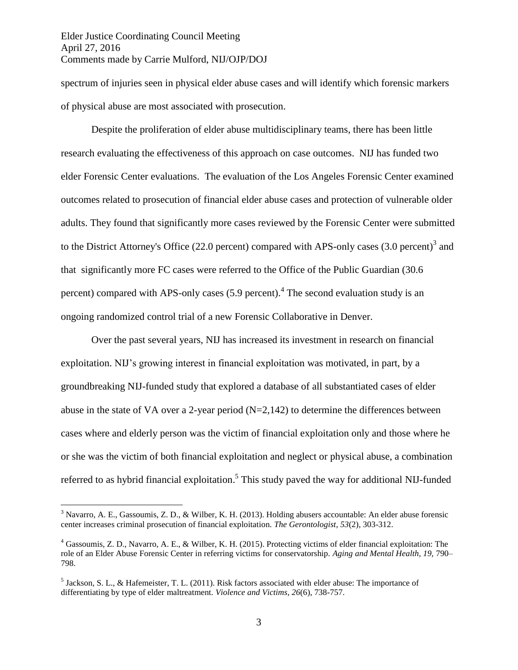Elder Justice Coordinating Council Meeting April 27, 2016 Comments made by Carrie Mulford, NIJ/OJP/DOJ

 $\overline{a}$ 

spectrum of injuries seen in physical elder abuse cases and will identify which forensic markers of physical abuse are most associated with prosecution.

Despite the proliferation of elder abuse multidisciplinary teams, there has been little research evaluating the effectiveness of this approach on case outcomes. NIJ has funded two elder Forensic Center evaluations. The evaluation of the Los Angeles Forensic Center examined outcomes related to prosecution of financial elder abuse cases and protection of vulnerable older adults. They found that significantly more cases reviewed by the Forensic Center were submitted to the District Attorney's Office (22.0 percent) compared with APS-only cases  $(3.0 \text{ percent})^3$  and that significantly more FC cases were referred to the Office of the Public Guardian (30.6 percent) compared with APS-only cases (5.9 percent).<sup>4</sup> The second evaluation study is an ongoing randomized control trial of a new Forensic Collaborative in Denver.

Over the past several years, NIJ has increased its investment in research on financial exploitation. NIJ's growing interest in financial exploitation was motivated, in part, by a groundbreaking NIJ-funded study that explored a database of all substantiated cases of elder abuse in the state of VA over a 2-year period  $(N=2,142)$  to determine the differences between cases where and elderly person was the victim of financial exploitation only and those where he or she was the victim of both financial exploitation and neglect or physical abuse, a combination referred to as hybrid financial exploitation.<sup>5</sup> This study paved the way for additional NIJ-funded

<sup>3</sup> Navarro, A. E., Gassoumis, Z. D., & Wilber, K. H. (2013). Holding abusers accountable: An elder abuse forensic center increases criminal prosecution of financial exploitation. *The Gerontologist*, *53*(2), 303-312.

<sup>4</sup> Gassoumis, Z. D., Navarro, A. E., & Wilber, K. H. (2015). Protecting victims of elder financial exploitation: The role of an Elder Abuse Forensic Center in referring victims for conservatorship. *Aging and Mental Health, 19,* 790– 798.

<sup>&</sup>lt;sup>5</sup> Jackson, S. L., & Hafemeister, T. L. (2011). Risk factors associated with elder abuse: The importance of differentiating by type of elder maltreatment. *Violence and Victims*, *26*(6), 738-757.